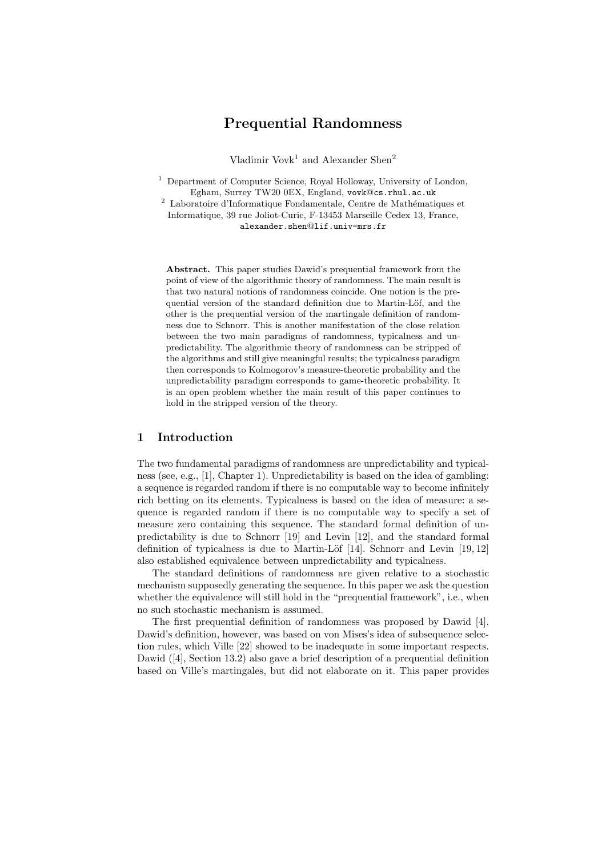# Prequential Randomness

Vladimir Vov $k^1$  and Alexander Shen<sup>2</sup>

<sup>1</sup> Department of Computer Science, Royal Holloway, University of London, Egham, Surrey TW20 0EX, England, vovk@cs.rhul.ac.uk

 $^2$  Laboratoire d'Informatique Fondamentale, Centre de Mathématiques et Informatique, 39 rue Joliot-Curie, F-13453 Marseille Cedex 13, France, alexander.shen@lif.univ-mrs.fr

Abstract. This paper studies Dawid's prequential framework from the point of view of the algorithmic theory of randomness. The main result is that two natural notions of randomness coincide. One notion is the prequential version of the standard definition due to Martin-Löf, and the other is the prequential version of the martingale definition of randomness due to Schnorr. This is another manifestation of the close relation between the two main paradigms of randomness, typicalness and unpredictability. The algorithmic theory of randomness can be stripped of the algorithms and still give meaningful results; the typicalness paradigm then corresponds to Kolmogorov's measure-theoretic probability and the unpredictability paradigm corresponds to game-theoretic probability. It is an open problem whether the main result of this paper continues to hold in the stripped version of the theory.

# 1 Introduction

The two fundamental paradigms of randomness are unpredictability and typicalness (see, e.g., [1], Chapter 1). Unpredictability is based on the idea of gambling: a sequence is regarded random if there is no computable way to become infinitely rich betting on its elements. Typicalness is based on the idea of measure: a sequence is regarded random if there is no computable way to specify a set of measure zero containing this sequence. The standard formal definition of unpredictability is due to Schnorr [19] and Levin [12], and the standard formal definition of typicalness is due to Martin-Löf  $[14]$ . Schnorr and Levin  $[19, 12]$ also established equivalence between unpredictability and typicalness.

The standard definitions of randomness are given relative to a stochastic mechanism supposedly generating the sequence. In this paper we ask the question whether the equivalence will still hold in the "prequential framework", i.e., when no such stochastic mechanism is assumed.

The first prequential definition of randomness was proposed by Dawid [4]. Dawid's definition, however, was based on von Mises's idea of subsequence selection rules, which Ville [22] showed to be inadequate in some important respects. Dawid ([4], Section 13.2) also gave a brief description of a prequential definition based on Ville's martingales, but did not elaborate on it. This paper provides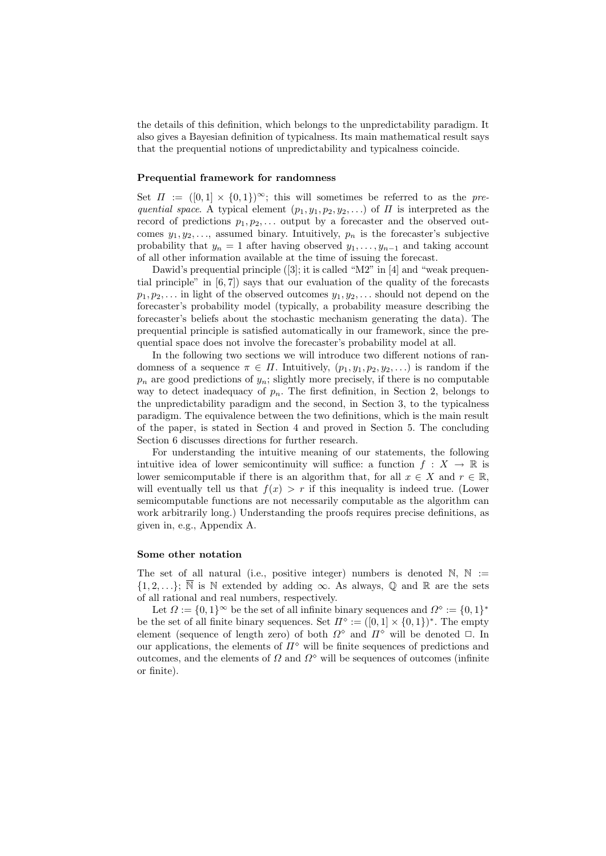the details of this definition, which belongs to the unpredictability paradigm. It also gives a Bayesian definition of typicalness. Its main mathematical result says that the prequential notions of unpredictability and typicalness coincide.

## Prequential framework for randomness

Set  $\Pi := (0,1] \times \{0,1\}^{\infty};$  this will sometimes be referred to as the prequential space. A typical element  $(p_1, y_1, p_2, y_2, ...)$  of  $\Pi$  is interpreted as the record of predictions  $p_1, p_2, \ldots$  output by a forecaster and the observed outcomes  $y_1, y_2, \ldots$ , assumed binary. Intuitively,  $p_n$  is the forecaster's subjective probability that  $y_n = 1$  after having observed  $y_1, \ldots, y_{n-1}$  and taking account of all other information available at the time of issuing the forecast.

Dawid's prequential principle ([3]; it is called "M2" in [4] and "weak prequential principle" in  $[6, 7]$  says that our evaluation of the quality of the forecasts  $p_1, p_2, \ldots$  in light of the observed outcomes  $y_1, y_2, \ldots$  should not depend on the forecaster's probability model (typically, a probability measure describing the forecaster's beliefs about the stochastic mechanism generating the data). The prequential principle is satisfied automatically in our framework, since the prequential space does not involve the forecaster's probability model at all.

In the following two sections we will introduce two different notions of randomness of a sequence  $\pi \in \Pi$ . Intuitively,  $(p_1, y_1, p_2, y_2, \ldots)$  is random if the  $p_n$  are good predictions of  $y_n$ ; slightly more precisely, if there is no computable way to detect inadequacy of  $p_n$ . The first definition, in Section 2, belongs to the unpredictability paradigm and the second, in Section 3, to the typicalness paradigm. The equivalence between the two definitions, which is the main result of the paper, is stated in Section 4 and proved in Section 5. The concluding Section 6 discusses directions for further research.

For understanding the intuitive meaning of our statements, the following intuitive idea of lower semicontinuity will suffice: a function  $f: X \to \mathbb{R}$  is lower semicomputable if there is an algorithm that, for all  $x \in X$  and  $r \in \mathbb{R}$ , will eventually tell us that  $f(x) > r$  if this inequality is indeed true. (Lower semicomputable functions are not necessarily computable as the algorithm can work arbitrarily long.) Understanding the proofs requires precise definitions, as given in, e.g., Appendix A.

# Some other notation

The set of all natural (i.e., positive integer) numbers is denoted  $\mathbb{N}, \mathbb{N} :=$  $\{1, 2, \ldots\}$ ;  $\overline{\mathbb{N}}$  is  $\mathbb N$  extended by adding  $\infty$ . As always,  $\mathbb Q$  and  $\mathbb R$  are the sets of all rational and real numbers, respectively.

Let  $\Omega := \{0,1\}^{\infty}$  be the set of all infinite binary sequences and  $\Omega^{\diamond} := \{0,1\}^*$ be the set of all finite binary sequences. Set  $\Pi^{\diamond} := ([0,1] \times \{0,1\})^*$ . The empty element (sequence of length zero) of both  $\Omega^{\diamond}$  and  $\Pi^{\diamond}$  will be denoted  $\Box$ . In our applications, the elements of  $\Pi^{\diamond}$  will be finite sequences of predictions and outcomes, and the elements of  $\Omega$  and  $\Omega^{\circ}$  will be sequences of outcomes (infinite or finite).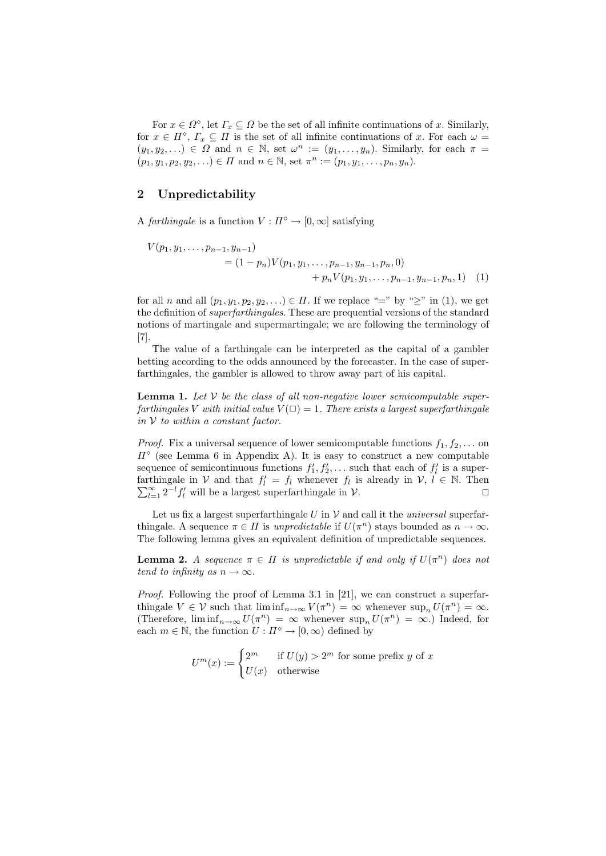For  $x \in \Omega^{\circ}$ , let  $\Gamma_x \subseteq \Omega$  be the set of all infinite continuations of x. Similarly, for  $x \in \Pi^{\circ}$ ,  $\Gamma_x \subseteq \Pi$  is the set of all infinite continuations of x. For each  $\omega =$  $(y_1, y_2, \ldots) \in \Omega$  and  $n \in \mathbb{N}$ , set  $\omega^n := (y_1, \ldots, y_n)$ . Similarly, for each  $\pi =$  $(p_1, y_1, p_2, y_2, \ldots) \in \Pi$  and  $n \in \mathbb{N}$ , set  $\pi^n := (p_1, y_1, \ldots, p_n, y_n)$ .

# 2 Unpredictability

A farthingale is a function  $V : \Pi^{\diamond} \to [0, \infty]$  satisfying

$$
V(p_1, y_1, \dots, p_{n-1}, y_{n-1})
$$
  
=  $(1 - p_n)V(p_1, y_1, \dots, p_{n-1}, y_{n-1}, p_n, 0)$   
+  $p_nV(p_1, y_1, \dots, p_{n-1}, y_{n-1}, p_n, 1)$  (1)

for all n and all  $(p_1, y_1, p_2, y_2, ...) \in \Pi$ . If we replace "=" by " $\geq$ " in (1), we get the definition of superfarthingales. These are prequential versions of the standard notions of martingale and supermartingale; we are following the terminology of [7].

The value of a farthingale can be interpreted as the capital of a gambler betting according to the odds announced by the forecaster. In the case of superfarthingales, the gambler is allowed to throw away part of his capital.

**Lemma 1.** Let  $V$  be the class of all non-negative lower semicomputable superfarthingales V with initial value  $V(\square) = 1$ . There exists a largest superfarthingale in  $V$  to within a constant factor.

*Proof.* Fix a universal sequence of lower semicomputable functions  $f_1, f_2, \ldots$  on  $\Pi^{\diamond}$  (see Lemma 6 in Appendix A). It is easy to construct a new computable sequence of semicontinuous functions  $f'_1, f'_2, \ldots$  such that each of  $f'_l$  is a superfarthingale in V and that  $f'_l = f_l$  whenever  $f_l$ P thingale in  $V$  and that  $f'_l = f_l$  whenever  $f_l$  is already in  $V$ ,  $l \in \mathbb{N}$ . Then  $\sum_{l=1}^{\infty} 2^{-l} f'_l$  will be a largest superfarthingale in  $V$ .

Let us fix a largest superfarthingale  $U$  in  $V$  and call it the *universal* superfarthingale. A sequence  $\pi \in \Pi$  is unpredictable if  $U(\pi^n)$  stays bounded as  $n \to \infty$ . The following lemma gives an equivalent definition of unpredictable sequences.

**Lemma 2.** A sequence  $\pi \in \Pi$  is unpredictable if and only if  $U(\pi^n)$  does not tend to infinity as  $n \to \infty$ .

Proof. Following the proof of Lemma 3.1 in [21], we can construct a superfarthingale  $V \in \mathcal{V}$  such that  $\liminf_{n \to \infty} V(\pi^n) = \infty$  whenever  $\sup_n U(\pi^n) = \infty$ . (Therefore,  $\liminf_{n\to\infty} U(\pi^n) = \infty$  whenever  $\sup_n U(\pi^n) = \infty$ .) Indeed, for each  $m \in \mathbb{N}$ , the function  $U : \Pi^{\diamond} \to [0, \infty)$  defined by

$$
U^m(x) := \begin{cases} 2^m & \text{if } U(y) > 2^m \text{ for some prefix } y \text{ of } x \\ U(x) & \text{otherwise} \end{cases}
$$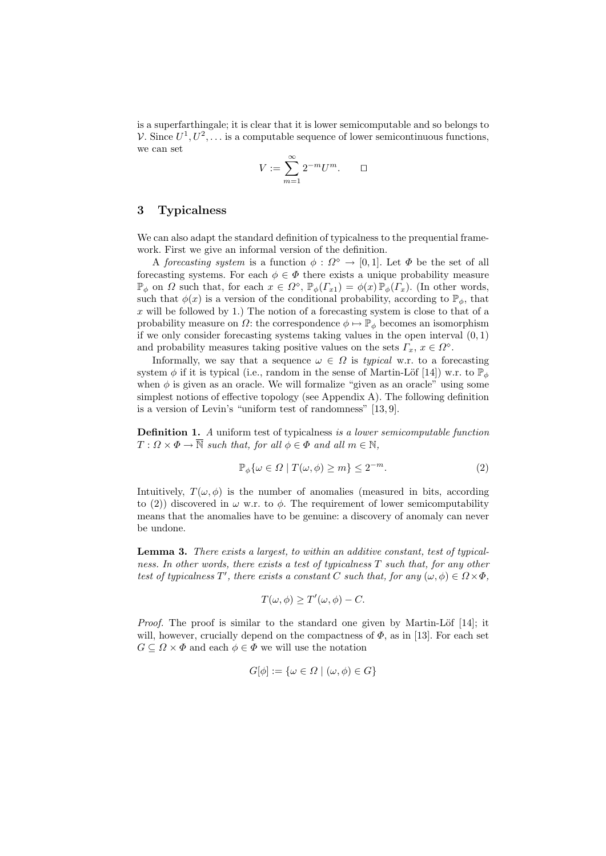is a superfarthingale; it is clear that it is lower semicomputable and so belongs to V. Since  $U^1, U^2, \ldots$  is a computable sequence of lower semicontinuous functions, we can set

$$
V:=\sum_{m=1}^\infty 2^{-m}U^m.\qquad\square
$$

# 3 Typicalness

We can also adapt the standard definition of typicalness to the prequential framework. First we give an informal version of the definition.

A forecasting system is a function  $\phi : \Omega^{\diamond} \to [0,1]$ . Let  $\Phi$  be the set of all forecasting systems. For each  $\phi \in \Phi$  there exists a unique probability measure  $\mathbb{P}_{\phi}$  on  $\Omega$  such that, for each  $x \in \Omega^{\diamond}$ ,  $\mathbb{P}_{\phi}(\Gamma_{x}) = \phi(x) \mathbb{P}_{\phi}(\Gamma_{x})$ . (In other words, such that  $\phi(x)$  is a version of the conditional probability, according to  $\mathbb{P}_{\phi}$ , that  $x$  will be followed by 1.) The notion of a forecasting system is close to that of a probability measure on  $\Omega$ : the correspondence  $\phi \mapsto \mathbb{P}_{\phi}$  becomes an isomorphism if we only consider forecasting systems taking values in the open interval  $(0, 1)$ and probability measures taking positive values on the sets  $\Gamma_x, x \in \Omega^{\diamond}$ .

Informally, we say that a sequence  $\omega \in \Omega$  is *typical* w.r. to a forecasting system  $\phi$  if it is typical (i.e., random in the sense of Martin-Löf [14]) w.r. to  $\mathbb{P}_{\phi}$ when  $\phi$  is given as an oracle. We will formalize "given as an oracle" using some simplest notions of effective topology (see Appendix A). The following definition is a version of Levin's "uniform test of randomness" [13, 9].

Definition 1. A uniform test of typicalness is a lower semicomputable function  $T: \Omega \times \Phi \to \overline{\mathbb{N}}$  such that, for all  $\phi \in \Phi$  and all  $m \in \mathbb{N}$ ,

$$
\mathbb{P}_{\phi}\{\omega \in \Omega \mid T(\omega,\phi) \ge m\} \le 2^{-m}.
$$
 (2)

Intuitively,  $T(\omega, \phi)$  is the number of anomalies (measured in bits, according to (2)) discovered in  $\omega$  w.r. to  $\phi$ . The requirement of lower semicomputability means that the anomalies have to be genuine: a discovery of anomaly can never be undone.

Lemma 3. There exists a largest, to within an additive constant, test of typicalness. In other words, there exists a test of typicalness T such that, for any other test of typicalness T', there exists a constant C such that, for any  $(\omega, \phi) \in \Omega \times \Phi$ ,

$$
T(\omega, \phi) \geq T'(\omega, \phi) - C.
$$

*Proof.* The proof is similar to the standard one given by Martin-Löf  $[14]$ ; it will, however, crucially depend on the compactness of  $\Phi$ , as in [13]. For each set  $G \subseteq \Omega \times \Phi$  and each  $\phi \in \Phi$  we will use the notation

$$
G[\phi] := \{ \omega \in \Omega \mid (\omega, \phi) \in G \}
$$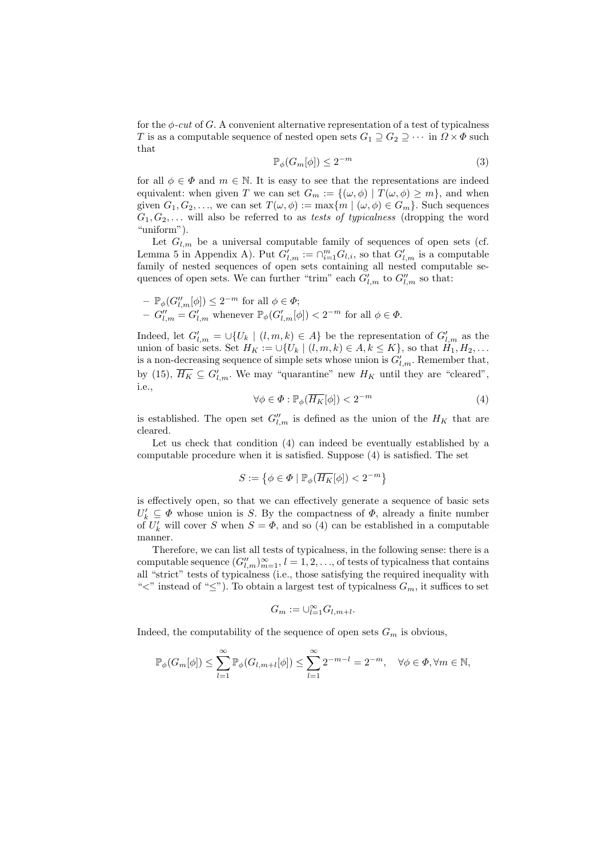for the  $\phi$ -cut of G. A convenient alternative representation of a test of typicalness T is as a computable sequence of nested open sets  $G_1 \supseteq G_2 \supseteq \cdots$  in  $\Omega \times \Phi$  such that

$$
\mathbb{P}_{\phi}(G_m[\phi]) \le 2^{-m} \tag{3}
$$

for all  $\phi \in \Phi$  and  $m \in \mathbb{N}$ . It is easy to see that the representations are indeed equivalent: when given T we can set  $G_m := \{(\omega, \phi) | T(\omega, \phi) \geq m\}$ , and when given  $G_1, G_2, \ldots$ , we can set  $T(\omega, \phi) := \max\{m \mid (\omega, \phi) \in G_m\}$ . Such sequences  $G_1, G_2, \ldots$  will also be referred to as tests of typicalness (dropping the word "uniform").

Let  $G_{l,m}$  be a universal computable family of sequences of open sets (cf. Lemma 5 in Appendix A). Put  $G'_{l,m} := \bigcap_{i=1}^m G_{l,i}$ , so that  $G'_{l,m}$  is a computable family of nested sequences of open sets containing all nested computable sequences of open sets. We can further "trim" each  $G'_{l,m}$  to  $G''_{l,m}$  so that:

$$
\begin{aligned} &-\mathbb{P}_{\phi}(G_{l,m}^{\prime\prime}[\phi])\leq 2^{-m}\text{ for all }\phi\in\varPhi;\\ &-G_{l,m}^{\prime\prime}=G_{l,m}^{\prime}\text{ whenever }\mathbb{P}_{\phi}(G_{l,m}^{\prime}[\phi])<2^{-m}\text{ for all }\phi\in\varPhi. \end{aligned}
$$

Indeed, let  $G'_{l,m} = \bigcup \{U_k \mid (l,m,k) \in A\}$  be the representation of  $G'_{l,m}$  as the union of basic sets. Set  $H_K := \bigcup \{U_k \mid (l, m, k) \in A, k \leq K\}$ , so that  $H_1, H_2, \ldots$ is a non-decreasing sequence of simple sets whose union is  $G'_{l,m}$ . Remember that, by (15),  $\overline{H_K} \subseteq G'_{l,m}$ . We may "quarantine" new  $H_K$  until they are "cleared", i.e.,

$$
\forall \phi \in \Phi : \mathbb{P}_{\phi}(\overline{H_K}[\phi]) < 2^{-m} \tag{4}
$$

is established. The open set  $G''_{l,m}$  is defined as the union of the  $H_K$  that are cleared.

Let us check that condition (4) can indeed be eventually established by a computable procedure when it is satisfied. Suppose (4) is satisfied. The set

$$
S := \left\{ \phi \in \Phi \mid \mathbb{P}_{\phi}(\overline{H_K}[\phi]) < 2^{-m} \right\}
$$

is effectively open, so that we can effectively generate a sequence of basic sets  $U'_{k} \subseteq \Phi$  whose union is S. By the compactness of  $\Phi$ , already a finite number of  $U'_k$  will cover S when  $S = \Phi$ , and so (4) can be established in a computable manner.

Therefore, we can list all tests of typicalness, in the following sense: there is a computable sequence  $(G''_{l,m})_{m=1}^{\infty}$ ,  $l = 1, 2, ...,$  of tests of typicalness that contains all "strict" tests of typicalness (i.e., those satisfying the required inequality with " $\lt$ " instead of " $\leq$ "). To obtain a largest test of typicalness  $G_m$ , it suffices to set

$$
G_m:=\cup_{l=1}^{\infty}G_{l,m+l}.
$$

Indeed, the computability of the sequence of open sets  $G_m$  is obvious,

$$
\mathbb{P}_{\phi}(G_m[\phi]) \le \sum_{l=1}^{\infty} \mathbb{P}_{\phi}(G_{l,m+l}[\phi]) \le \sum_{l=1}^{\infty} 2^{-m-l} = 2^{-m}, \quad \forall \phi \in \Phi, \forall m \in \mathbb{N},
$$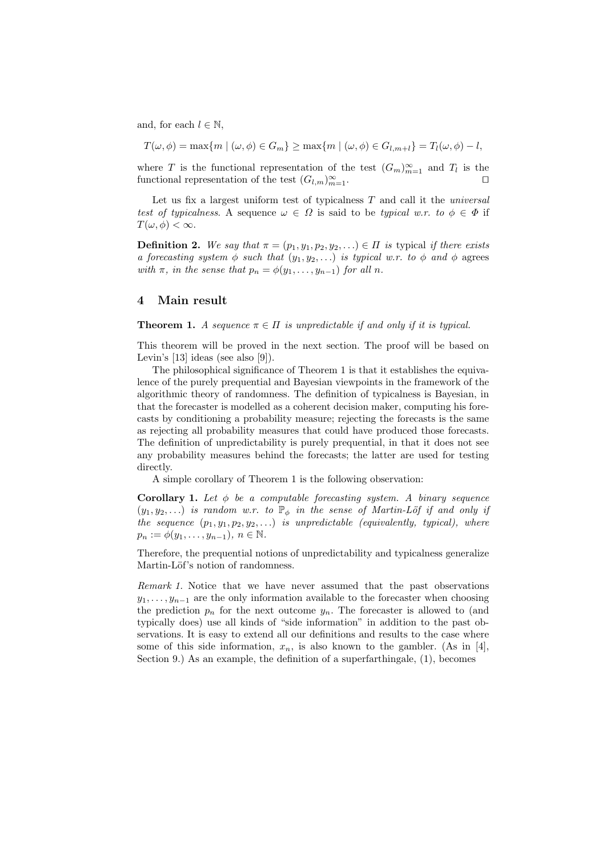and, for each  $l \in \mathbb{N}$ ,

 $T(\omega, \phi) = \max\{m \mid (\omega, \phi) \in G_m\} \geq \max\{m \mid (\omega, \phi) \in G_{l,m+l}\} = T_l(\omega, \phi) - l,$ 

where T is the functional representation of the test  $(G_m)_{m=1}^{\infty}$  and  $T_l$  is the functional representation of the test  $(G_{l,m})_{m=1}^{\infty}$ .

Let us fix a largest uniform test of typicalness  $T$  and call it the *universal* test of typicalness. A sequence  $\omega \in \Omega$  is said to be typical w.r. to  $\phi \in \Phi$  if  $T(\omega, \phi) < \infty$ .

**Definition 2.** We say that  $\pi = (p_1, y_1, p_2, y_2, ...) \in \Pi$  is typical if there exists a forecasting system  $\phi$  such that  $(y_1, y_2, \ldots)$  is typical w.r. to  $\phi$  and  $\phi$  agrees with  $\pi$ , in the sense that  $p_n = \phi(y_1, \ldots, y_{n-1})$  for all n.

# 4 Main result

**Theorem 1.** A sequence  $\pi \in \Pi$  is unpredictable if and only if it is typical.

This theorem will be proved in the next section. The proof will be based on Levin's [13] ideas (see also [9]).

The philosophical significance of Theorem 1 is that it establishes the equivalence of the purely prequential and Bayesian viewpoints in the framework of the algorithmic theory of randomness. The definition of typicalness is Bayesian, in that the forecaster is modelled as a coherent decision maker, computing his forecasts by conditioning a probability measure; rejecting the forecasts is the same as rejecting all probability measures that could have produced those forecasts. The definition of unpredictability is purely prequential, in that it does not see any probability measures behind the forecasts; the latter are used for testing directly.

A simple corollary of Theorem 1 is the following observation:

**Corollary 1.** Let  $\phi$  be a computable forecasting system. A binary sequence  $(y_1, y_2, \ldots)$  is random w.r. to  $\mathbb{P}_{\phi}$  in the sense of Martin-Löf if and only if the sequence  $(p_1, y_1, p_2, y_2, \ldots)$  is unpredictable (equivalently, typical), where  $p_n := \phi(y_1, \ldots, y_{n-1}), n \in \mathbb{N}.$ 

Therefore, the prequential notions of unpredictability and typicalness generalize Martin-Löf's notion of randomness.

Remark 1. Notice that we have never assumed that the past observations  $y_1, \ldots, y_{n-1}$  are the only information available to the forecaster when choosing the prediction  $p_n$  for the next outcome  $y_n$ . The forecaster is allowed to (and typically does) use all kinds of "side information" in addition to the past observations. It is easy to extend all our definitions and results to the case where some of this side information,  $x_n$ , is also known to the gambler. (As in [4], Section 9.) As an example, the definition of a superfarthingale, (1), becomes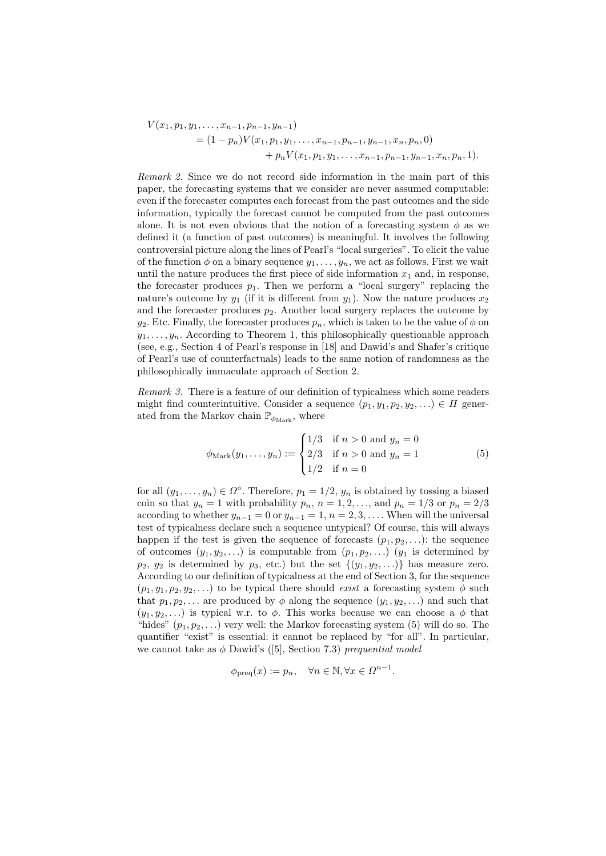$$
V(x_1, p_1, y_1, \dots, x_{n-1}, p_{n-1}, y_{n-1})
$$
  
=  $(1-p_n)V(x_1, p_1, y_1, \dots, x_{n-1}, p_{n-1}, y_{n-1}, x_n, p_n, 0)$   
+  $p_n V(x_1, p_1, y_1, \dots, x_{n-1}, p_{n-1}, y_{n-1}, x_n, p_n, 1).$ 

Remark 2. Since we do not record side information in the main part of this paper, the forecasting systems that we consider are never assumed computable: even if the forecaster computes each forecast from the past outcomes and the side information, typically the forecast cannot be computed from the past outcomes alone. It is not even obvious that the notion of a forecasting system  $\phi$  as we defined it (a function of past outcomes) is meaningful. It involves the following controversial picture along the lines of Pearl's "local surgeries". To elicit the value of the function  $\phi$  on a binary sequence  $y_1, \ldots, y_n$ , we act as follows. First we wait until the nature produces the first piece of side information  $x_1$  and, in response, the forecaster produces  $p_1$ . Then we perform a "local surgery" replacing the nature's outcome by  $y_1$  (if it is different from  $y_1$ ). Now the nature produces  $x_2$ and the forecaster produces  $p_2$ . Another local surgery replaces the outcome by  $y_2$ . Etc. Finally, the forecaster produces  $p_n$ , which is taken to be the value of  $\phi$  on  $y_1, \ldots, y_n$ . According to Theorem 1, this philosophically questionable approach (see, e.g., Section 4 of Pearl's response in [18] and Dawid's and Shafer's critique of Pearl's use of counterfactuals) leads to the same notion of randomness as the philosophically immaculate approach of Section 2.

Remark 3. There is a feature of our definition of typicalness which some readers might find counterintuitive. Consider a sequence  $(p_1, y_1, p_2, y_2, \ldots) \in \Pi$  generated from the Markov chain  $\mathbb{P}_{\phi_{\text{Mark}}}$ , where

$$
\phi_{\text{Mark}}(y_1, \dots, y_n) := \begin{cases} 1/3 & \text{if } n > 0 \text{ and } y_n = 0 \\ 2/3 & \text{if } n > 0 \text{ and } y_n = 1 \\ 1/2 & \text{if } n = 0 \end{cases}
$$
 (5)

for all  $(y_1, \ldots, y_n) \in \Omega^{\diamond}$ . Therefore,  $p_1 = 1/2$ ,  $y_n$  is obtained by tossing a biased coin so that  $y_n = 1$  with probability  $p_n$ ,  $n = 1, 2, \ldots$ , and  $p_n = 1/3$  or  $p_n = 2/3$ according to whether  $y_{n-1} = 0$  or  $y_{n-1} = 1$ ,  $n = 2, 3, \ldots$ . When will the universal test of typicalness declare such a sequence untypical? Of course, this will always happen if the test is given the sequence of forecasts  $(p_1, p_2, \ldots)$ : the sequence of outcomes  $(y_1, y_2, \ldots)$  is computable from  $(p_1, p_2, \ldots)$   $(y_1$  is determined by  $p_2, y_2$  is determined by  $p_3$ , etc.) but the set  $\{(y_1, y_2, \ldots)\}\)$  has measure zero. According to our definition of typicalness at the end of Section 3, for the sequence  $(p_1, y_1, p_2, y_2, \ldots)$  to be typical there should *exist* a forecasting system  $\phi$  such that  $p_1, p_2, \ldots$  are produced by  $\phi$  along the sequence  $(y_1, y_2, \ldots)$  and such that  $(y_1, y_2, ...)$  is typical w.r. to  $\phi$ . This works because we can choose a  $\phi$  that "hides"  $(p_1, p_2, \ldots)$  very well: the Markov forecasting system (5) will do so. The quantifier "exist" is essential: it cannot be replaced by "for all". In particular, we cannot take as  $\phi$  Dawid's ([5], Section 7.3) prequential model

$$
\phi_{\text{preq}}(x) := p_n, \quad \forall n \in \mathbb{N}, \forall x \in \Omega^{n-1}.
$$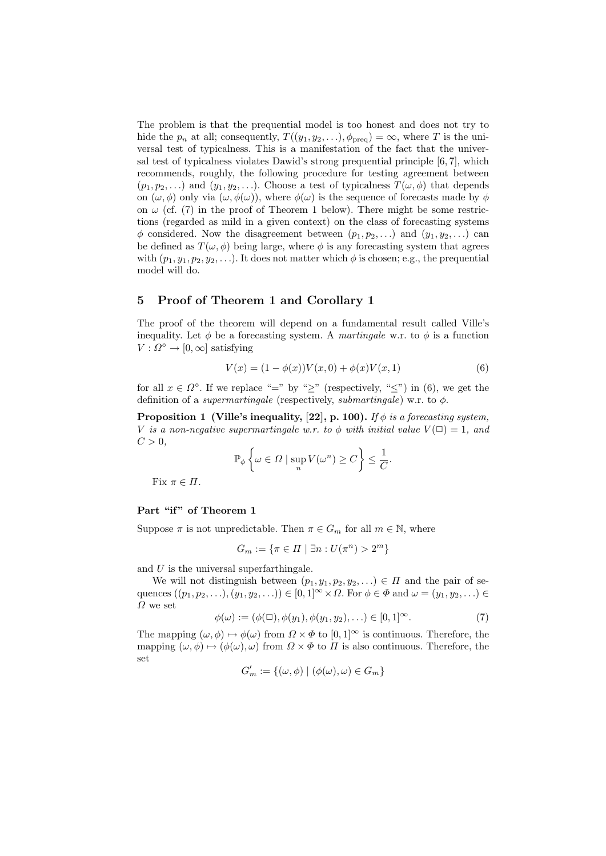The problem is that the prequential model is too honest and does not try to hide the  $p_n$  at all; consequently,  $T((y_1, y_2, \ldots), \phi_{\text{preq}}) = \infty$ , where T is the universal test of typicalness. This is a manifestation of the fact that the universal test of typicalness violates Dawid's strong prequential principle [6, 7], which recommends, roughly, the following procedure for testing agreement between  $(p_1, p_2, \ldots)$  and  $(y_1, y_2, \ldots)$ . Choose a test of typicalness  $T(\omega, \phi)$  that depends on  $(\omega, \phi)$  only via  $(\omega, \phi(\omega))$ , where  $\phi(\omega)$  is the sequence of forecasts made by  $\phi$ on  $\omega$  (cf. (7) in the proof of Theorem 1 below). There might be some restrictions (regarded as mild in a given context) on the class of forecasting systems  $\phi$  considered. Now the disagreement between  $(p_1, p_2, \ldots)$  and  $(y_1, y_2, \ldots)$  can be defined as  $T(\omega, \phi)$  being large, where  $\phi$  is any forecasting system that agrees with  $(p_1, y_1, p_2, y_2, \ldots)$ . It does not matter which  $\phi$  is chosen; e.g., the prequential model will do.

# 5 Proof of Theorem 1 and Corollary 1

The proof of the theorem will depend on a fundamental result called Ville's inequality. Let  $\phi$  be a forecasting system. A martingale w.r. to  $\phi$  is a function  $V: \Omega^{\diamond} \to [0, \infty]$  satisfying

$$
V(x) = (1 - \phi(x))V(x, 0) + \phi(x)V(x, 1)
$$
\n(6)

for all  $x \in \Omega^{\circ}$ . If we replace "=" by "≥" (respectively, "≤") in (6), we get the definition of a *supermartingale* (respectively, *submartingale*) w.r. to  $\phi$ .

**Proposition 1 (Ville's inequality, [22], p. 100).** If  $\phi$  is a forecasting system, V is a non-negative supermartingale w.r. to  $\phi$  with initial value  $V(\Box) = 1$ , and  $C>0$ ,

$$
\mathbb{P}_{\phi}\left\{\omega \in \Omega \mid \sup_{n} V(\omega^{n}) \ge C\right\} \le \frac{1}{C}.
$$

Fix  $\pi \in \Pi$ .

#### Part "if" of Theorem 1

Suppose  $\pi$  is not unpredictable. Then  $\pi \in G_m$  for all  $m \in \mathbb{N}$ , where

$$
G_m := \{ \pi \in \Pi \mid \exists n : U(\pi^n) > 2^m \}
$$

and  $U$  is the universal superfarthingale.

We will not distinguish between  $(p_1, y_1, p_2, y_2, \ldots) \in \Pi$  and the pair of sequences  $((p_1, p_2, \ldots), (y_1, y_2, \ldots)) \in [0, 1]^\infty \times \Omega$ . For  $\phi \in \Phi$  and  $\omega = (y_1, y_2, \ldots) \in$  $\Omega$  we set

$$
\phi(\omega) := (\phi(\square), \phi(y_1), \phi(y_1, y_2), \ldots) \in [0, 1]^\infty.
$$
\n(7)

The mapping  $(\omega, \phi) \mapsto \phi(\omega)$  from  $\Omega \times \Phi$  to  $[0, 1]^\infty$  is continuous. Therefore, the mapping  $(\omega, \phi) \mapsto (\phi(\omega), \omega)$  from  $\Omega \times \Phi$  to  $\Pi$  is also continuous. Therefore, the set

$$
G'_m := \{(\omega, \phi) \mid (\phi(\omega), \omega) \in G_m\}
$$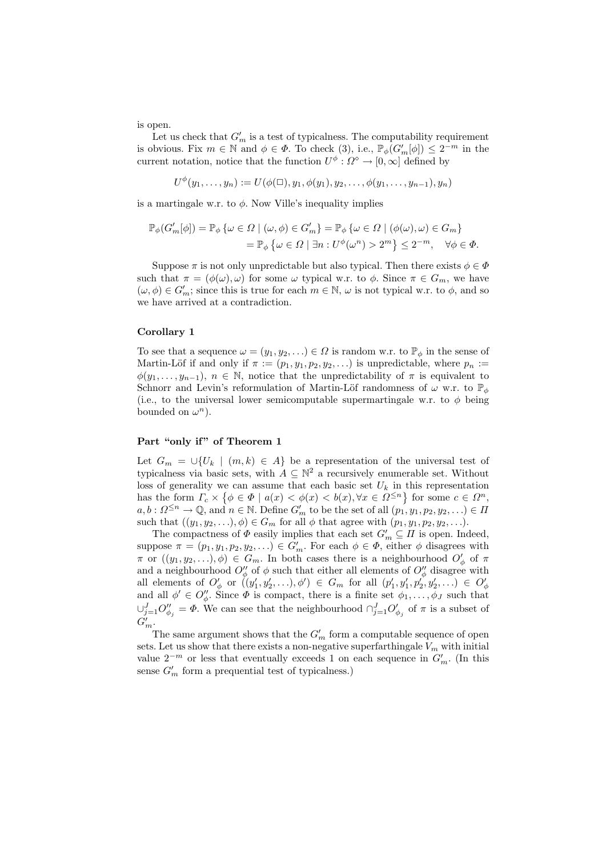is open.

Let us check that  $G'_m$  is a test of typicalness. The computability requirement is obvious. Fix  $m \in \mathbb{N}$  and  $\phi \in \Phi$ . To check (3), i.e.,  $\mathbb{P}_{\phi}(G'_{m}[\phi]) \leq 2^{-m}$  in the current notation, notice that the function  $U^{\phi}$ :  $\Omega^{\diamond} \to [0,\infty]$  defined by

$$
U^{\phi}(y_1,\ldots,y_n) := U(\phi(\Box),y_1,\phi(y_1),y_2,\ldots,\phi(y_1,\ldots,y_{n-1}),y_n)
$$

is a martingale w.r. to  $\phi$ . Now Ville's inequality implies

$$
\mathbb{P}_{\phi}(G'_{m}[\phi]) = \mathbb{P}_{\phi} \left\{ \omega \in \Omega \mid (\omega, \phi) \in G'_{m} \right\} = \mathbb{P}_{\phi} \left\{ \omega \in \Omega \mid (\phi(\omega), \omega) \in G_{m} \right\}
$$

$$
= \mathbb{P}_{\phi} \left\{ \omega \in \Omega \mid \exists n : U^{\phi}(\omega^{n}) > 2^{m} \right\} \leq 2^{-m}, \quad \forall \phi \in \Phi.
$$

Suppose  $\pi$  is not only unpredictable but also typical. Then there exists  $\phi \in \Phi$ such that  $\pi = (\phi(\omega), \omega)$  for some  $\omega$  typical w.r. to  $\phi$ . Since  $\pi \in G_m$ , we have  $(\omega, \phi) \in G'_m$ ; since this is true for each  $m \in \mathbb{N}$ ,  $\omega$  is not typical w.r. to  $\phi$ , and so we have arrived at a contradiction.

## Corollary 1

To see that a sequence  $\omega = (y_1, y_2, ...) \in \Omega$  is random w.r. to  $\mathbb{P}_{\phi}$  in the sense of Martin-Löf if and only if  $\pi := (p_1, y_1, p_2, y_2, ...)$  is unpredictable, where  $p_n :=$  $\phi(y_1, \ldots, y_{n-1}), n \in \mathbb{N}$ , notice that the unpredictability of  $\pi$  is equivalent to Schnorr and Levin's reformulation of Martin-Löf randomness of  $\omega$  w.r. to  $\mathbb{P}_{\phi}$ (i.e., to the universal lower semicomputable supermartingale w.r. to  $\phi$  being bounded on  $\omega^n$ ).

### Part "only if" of Theorem 1

Let  $G_m = \bigcup \{U_k \mid (m, k) \in A\}$  be a representation of the universal test of typicalness via basic sets, with  $A \subseteq \mathbb{N}^2$  a recursively enumerable set. Without loss of generality we can assume that each basic set  $U_k$  in this representation has the form  $\Gamma_c \times \{ \phi \in \Phi \mid a(x) < \phi(x) < b(x), \forall x \in \Omega^{\leq n} \}$  for some  $c \in \Omega^n$ ,  $a, b: \Omega^{\leq n} \to \mathbb{Q}$ , and  $n \in \mathbb{N}$ . Define  $G'_m$  to be the set of all  $(p_1, y_1, p_2, y_2, \ldots) \in \Pi$ such that  $((y_1, y_2, \ldots), \phi) \in G_m$  for all  $\phi$  that agree with  $(p_1, y_1, p_2, y_2, \ldots)$ .

The compactness of  $\Phi$  easily implies that each set  $G'_m \subseteq \Pi$  is open. Indeed, suppose  $\pi = (p_1, y_1, p_2, y_2, \ldots) \in G'_m$ . For each  $\phi \in \Phi$ , either  $\phi$  disagrees with  $\pi$  or  $((y_1, y_2, \ldots), \phi) \in G_m$ . In both cases there is a neighbourhood  $O'_{\phi}$  of  $\pi$ and a neighbourhood  $O''_{\phi}$  of  $\phi$  such that either all elements of  $O''_{\phi}$  disagree with all elements of  $O'_{\phi}$  or  $((y'_1, y'_2, \ldots), \phi') \in G_m$  for all  $(p'_1, y'_1, p'_2, y'_2, \ldots) \in O'_{\phi}$ <br>and all  $\phi' \in O''_{\phi}$ . Since  $\Phi$  is compact, there is a finite set  $\phi_1, \ldots, \phi_J$  such that  $\cup_{j=1}^J O''_{\phi_j} = \varPhi$ . We can see that the neighbourhood  $\cap_{j=1}^J O'_{\phi_j}$  of  $\pi$  is a subset of  $G'_m$ .

The same argument shows that the  $G'_m$  form a computable sequence of open sets. Let us show that there exists a non-negative superfarthingale  $V_m$  with initial value  $2^{-m}$  or less that eventually exceeds 1 on each sequence in  $G'_m$ . (In this sense  $G'_m$  form a prequential test of typicalness.)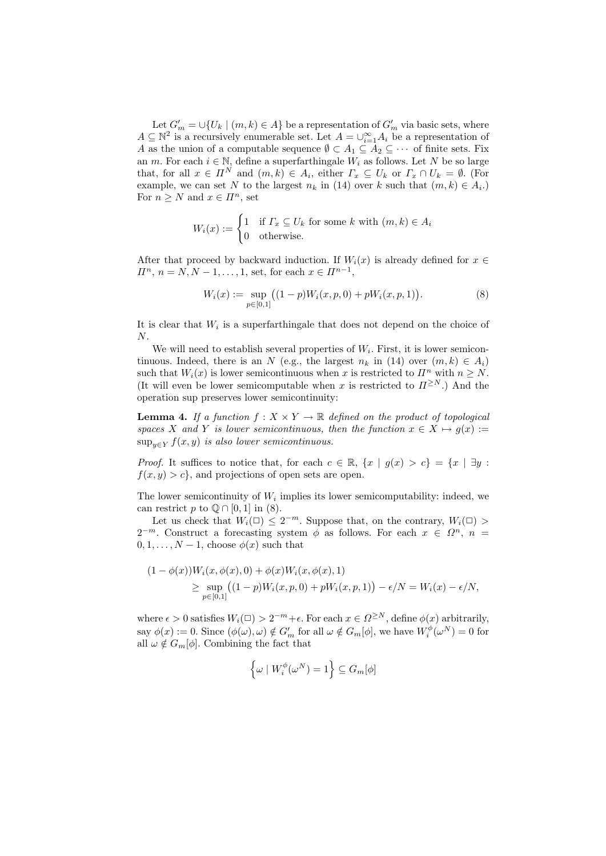Let  $G'_m = \bigcup \{U_k \mid (m, k) \in A\}$  be a representation of  $G'_m$  via basic sets, where  $A \subseteq \mathbb{N}^2$  is a recursively enumerable set. Let  $A = \bigcup_{i=1}^{\infty} A_i$  be a representation of A as the union of a computable sequence  $\emptyset \subset A_1 \subseteq A_2 \subseteq \cdots$  of finite sets. Fix an m. For each  $i \in \mathbb{N}$ , define a superfarthingale  $W_i$  as follows. Let N be so large that, for all  $x \in \Pi^N$  and  $(m, k) \in A_i$ , either  $\Gamma_x \subseteq U_k$  or  $\Gamma_x \cap U_k = \emptyset$ . (For example, we can set N to the largest  $n_k$  in (14) over k such that  $(m, k) \in A_i$ . For  $n \geq N$  and  $x \in \Pi^n$ , set

$$
W_i(x) := \begin{cases} 1 & \text{if } \varGamma_x \subseteq U_k \text{ for some } k \text{ with } (m, k) \in A_i \\ 0 & \text{otherwise.} \end{cases}
$$

After that proceed by backward induction. If  $W_i(x)$  is already defined for  $x \in$  $\Pi^n$ ,  $n = N, N - 1, ..., 1$ , set, for each  $x \in \Pi^{n-1}$ ,

$$
W_i(x) := \sup_{p \in [0,1]} \left( (1-p)W_i(x,p,0) + pW_i(x,p,1) \right). \tag{8}
$$

It is clear that  $W_i$  is a superfarthingale that does not depend on the choice of N.

We will need to establish several properties of  $W_i$ . First, it is lower semicontinuous. Indeed, there is an N (e.g., the largest  $n_k$  in (14) over  $(m, k) \in A_i$ ) such that  $W_i(x)$  is lower semicontinuous when x is restricted to  $\mathbb{I}^n$  with  $n \geq N$ . (It will even be lower semicomputable when x is restricted to  $\Pi^{\geq N}$ .) And the operation sup preserves lower semicontinuity:

**Lemma 4.** If a function  $f: X \times Y \to \mathbb{R}$  defined on the product of topological spaces X and Y is lower semicontinuous, then the function  $x \in X \mapsto q(x) :=$  $\sup_{y \in Y} f(x, y)$  is also lower semicontinuous.

*Proof.* It suffices to notice that, for each  $c \in \mathbb{R}$ ,  $\{x \mid q(x) > c\} = \{x \mid \exists y$ :  $f(x, y) > c$ , and projections of open sets are open.

The lower semicontinuity of  $W_i$  implies its lower semicomputability: indeed, we can restrict p to  $\mathbb{Q} \cap [0,1]$  in (8).

Let us check that  $W_i(\square) \leq 2^{-m}$ . Suppose that, on the contrary,  $W_i(\square) >$  $2^{-m}$ . Construct a forecasting system  $\phi$  as follows. For each  $x \in \Omega^n$ ,  $n =$  $0, 1, \ldots, N-1$ , choose  $\phi(x)$  such that

$$
(1 - \phi(x))W_i(x, \phi(x), 0) + \phi(x)W_i(x, \phi(x), 1)
$$
  
\n
$$
\geq \sup_{p \in [0,1]} ((1 - p)W_i(x, p, 0) + pW_i(x, p, 1)) - \epsilon/N = W_i(x) - \epsilon/N,
$$

where  $\epsilon > 0$  satisfies  $W_i(\square) > 2^{-m} + \epsilon$ . For each  $x \in \Omega^{\geq N}$ , define  $\phi(x)$  arbitrarily, say  $\phi(x) := 0$ . Since  $(\phi(\omega), \omega) \notin G'_m$  for all  $\omega \notin G_m[\phi]$ , we have  $W_i^{\phi}(\omega^N) = 0$  for all  $\omega \notin G_m[\phi]$ . Combining the fact that

$$
\left\{\omega \mid W_i^{\phi}(\omega^N) = 1\right\} \subseteq G_m[\phi]
$$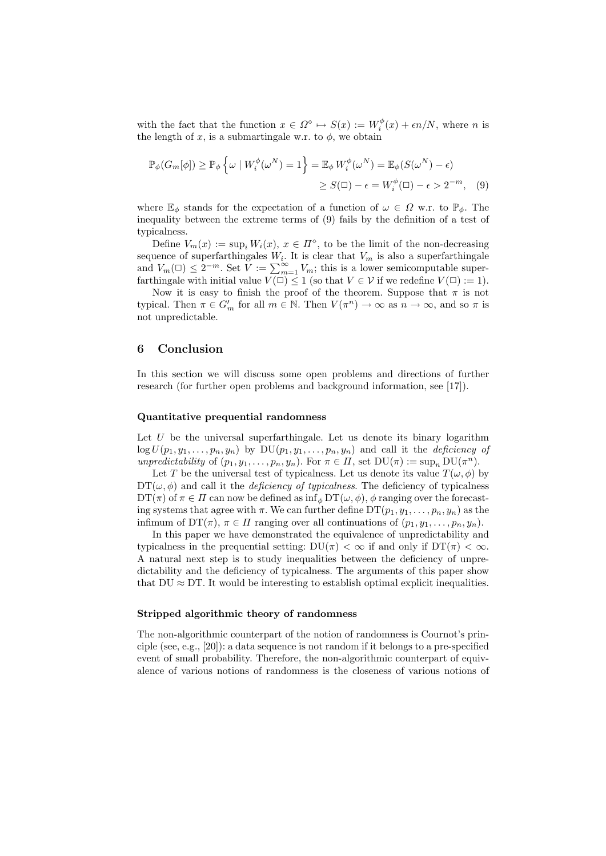with the fact that the function  $x \in \Omega^{\diamond} \mapsto S(x) := W_i^{\phi}(x) + \epsilon n/N$ , where n is the length of x, is a submartingale w.r. to  $\phi$ , we obtain

$$
\mathbb{P}_{\phi}(G_m[\phi]) \ge \mathbb{P}_{\phi}\left\{\omega \mid W_i^{\phi}(\omega^N) = 1\right\} = \mathbb{E}_{\phi}W_i^{\phi}(\omega^N) = \mathbb{E}_{\phi}(S(\omega^N) - \epsilon)
$$

$$
\ge S(\square) - \epsilon = W_i^{\phi}(\square) - \epsilon > 2^{-m}, \quad (9)
$$

where  $\mathbb{E}_{\phi}$  stands for the expectation of a function of  $\omega \in \Omega$  w.r. to  $\mathbb{P}_{\phi}$ . The inequality between the extreme terms of (9) fails by the definition of a test of typicalness.

Define  $V_m(x) := \sup_i W_i(x)$ ,  $x \in \Pi^{\diamond}$ , to be the limit of the non-decreasing sequence of superfarthingales  $W_i$ . It is clear that  $V_m$  is also a superfarthingale and  $V_m(\square) \leq 2^{-m}$ . Set  $\widetilde{V} := \sum_{m=1}^{\infty} V_m$ ; this is a lower semicomputable superfarthingale with initial value  $V(\square) \leq 1$  (so that  $V \in \mathcal{V}$  if we redefine  $V(\square) := 1$ ).

Now it is easy to finish the proof of the theorem. Suppose that  $\pi$  is not typical. Then  $\pi \in G'_m$  for all  $m \in \mathbb{N}$ . Then  $V(\pi^n) \to \infty$  as  $n \to \infty$ , and so  $\pi$  is not unpredictable.

# 6 Conclusion

In this section we will discuss some open problems and directions of further research (for further open problems and background information, see [17]).

## Quantitative prequential randomness

Let  $U$  be the universal superfarthingale. Let us denote its binary logarithm  $\log U(p_1, y_1, \ldots, p_n, y_n)$  by  $DU(p_1, y_1, \ldots, p_n, y_n)$  and call it the *deficiency of* unpredictability of  $(p_1, y_1, \ldots, p_n, y_n)$ . For  $\pi \in \Pi$ , set  $DU(\pi) := \sup_n DU(\pi^n)$ .

Let T be the universal test of typicalness. Let us denote its value  $T(\omega, \phi)$  by  $DT(\omega, \phi)$  and call it the *deficiency of typicalness*. The deficiency of typicalness  $DT(\pi)$  of  $\pi \in \Pi$  can now be defined as  $\inf_{\phi} DT(\omega, \phi)$ ,  $\phi$  ranging over the forecasting systems that agree with  $\pi$ . We can further define  $DT(p_1, y_1, \ldots, p_n, y_n)$  as the infimum of  $DT(\pi)$ ,  $\pi \in \Pi$  ranging over all continuations of  $(p_1, y_1, \ldots, p_n, y_n)$ .

In this paper we have demonstrated the equivalence of unpredictability and typicalness in the prequential setting:  $DU(\pi) < \infty$  if and only if  $DT(\pi) < \infty$ . A natural next step is to study inequalities between the deficiency of unpredictability and the deficiency of typicalness. The arguments of this paper show that  $DU \approx DT$ . It would be interesting to establish optimal explicit inequalities.

#### Stripped algorithmic theory of randomness

The non-algorithmic counterpart of the notion of randomness is Cournot's principle (see, e.g., [20]): a data sequence is not random if it belongs to a pre-specified event of small probability. Therefore, the non-algorithmic counterpart of equivalence of various notions of randomness is the closeness of various notions of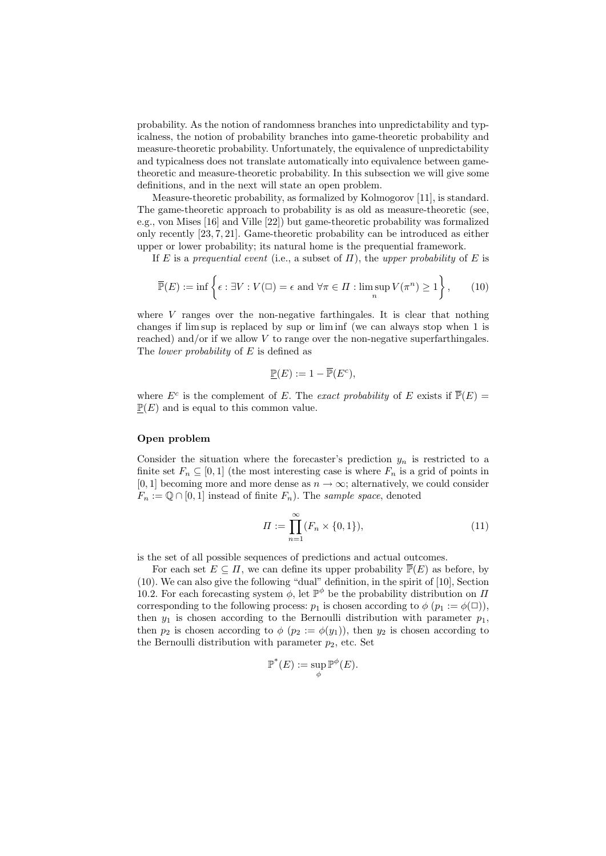probability. As the notion of randomness branches into unpredictability and typicalness, the notion of probability branches into game-theoretic probability and measure-theoretic probability. Unfortunately, the equivalence of unpredictability and typicalness does not translate automatically into equivalence between gametheoretic and measure-theoretic probability. In this subsection we will give some definitions, and in the next will state an open problem.

Measure-theoretic probability, as formalized by Kolmogorov [11], is standard. The game-theoretic approach to probability is as old as measure-theoretic (see, e.g., von Mises [16] and Ville [22]) but game-theoretic probability was formalized only recently [23, 7, 21]. Game-theoretic probability can be introduced as either upper or lower probability; its natural home is the prequential framework.

If E is a prequential event (i.e., a subset of  $\Pi$ ), the upper probability of E is

$$
\overline{\mathbb{P}}(E) := \inf \left\{ \epsilon : \exists V : V(\square) = \epsilon \text{ and } \forall \pi \in \Pi : \limsup_{n} V(\pi^n) \ge 1 \right\},\qquad(10)
$$

where  $V$  ranges over the non-negative farthingales. It is clear that nothing changes if lim sup is replaced by sup or lim inf (we can always stop when 1 is reached) and/or if we allow  $V$  to range over the non-negative superfarthingales. The *lower probability* of E is defined as

$$
\underline{\mathbb{P}}(E) := 1 - \overline{\mathbb{P}}(E^c),
$$

where  $E^c$  is the complement of E. The exact probability of E exists if  $\overline{\mathbb{P}}(E)$  =  $\mathbb{P}(E)$  and is equal to this common value.

## Open problem

Consider the situation where the forecaster's prediction  $y_n$  is restricted to a finite set  $F_n \subseteq [0,1]$  (the most interesting case is where  $F_n$  is a grid of points in [0, 1] becoming more and more dense as  $n \to \infty$ ; alternatively, we could consider  $F_n := \mathbb{Q} \cap [0,1]$  instead of finite  $F_n$ ). The sample space, denoted

$$
\Pi := \prod_{n=1}^{\infty} (F_n \times \{0, 1\}),\tag{11}
$$

is the set of all possible sequences of predictions and actual outcomes.

For each set  $E \subseteq \Pi$ , we can define its upper probability  $\overline{P}(E)$  as before, by (10). We can also give the following "dual" definition, in the spirit of [10], Section 10.2. For each forecasting system  $\phi$ , let  $\mathbb{P}^{\phi}$  be the probability distribution on  $\Pi$ corresponding to the following process:  $p_1$  is chosen according to  $\phi$  ( $p_1 := \phi(\square)$ ), then  $y_1$  is chosen according to the Bernoulli distribution with parameter  $p_1$ , then  $p_2$  is chosen according to  $\phi$  ( $p_2 := \phi(y_1)$ ), then  $y_2$  is chosen according to the Bernoulli distribution with parameter  $p_2$ , etc. Set

$$
\mathbb{P}^*(E):=\sup_{\phi}\mathbb{P}^{\phi}(E).
$$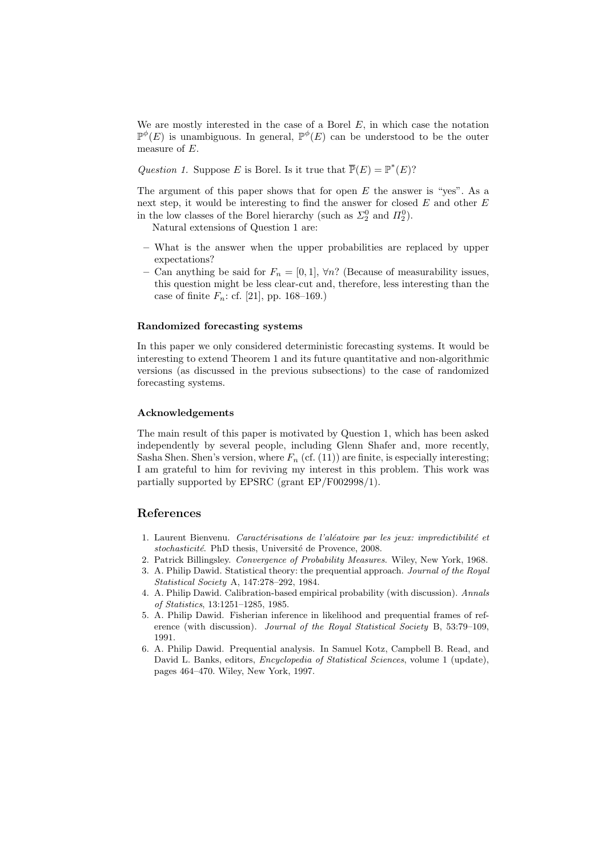We are mostly interested in the case of a Borel  $E$ , in which case the notation  $\mathbb{P}^{\phi}(E)$  is unambiguous. In general,  $\mathbb{P}^{\phi}(E)$  can be understood to be the outer measure of E.

Question 1. Suppose E is Borel. Is it true that  $\overline{\mathbb{P}}(E) = \mathbb{P}^*(E)$ ?

The argument of this paper shows that for open  $E$  the answer is "yes". As a next step, it would be interesting to find the answer for closed  $E$  and other  $E$ in the low classes of the Borel hierarchy (such as  $\Sigma_2^0$  and  $\Pi_2^0$ ).

Natural extensions of Question 1 are:

- What is the answer when the upper probabilities are replaced by upper expectations?
- Can anything be said for  $F_n = [0, 1], \forall n$ ? (Because of measurability issues, this question might be less clear-cut and, therefore, less interesting than the case of finite  $F_n$ : cf. [21], pp. 168–169.)

### Randomized forecasting systems

In this paper we only considered deterministic forecasting systems. It would be interesting to extend Theorem 1 and its future quantitative and non-algorithmic versions (as discussed in the previous subsections) to the case of randomized forecasting systems.

#### Acknowledgements

The main result of this paper is motivated by Question 1, which has been asked independently by several people, including Glenn Shafer and, more recently, Sasha Shen. Shen's version, where  $F_n$  (cf. (11)) are finite, is especially interesting; I am grateful to him for reviving my interest in this problem. This work was partially supported by EPSRC (grant EP/F002998/1).

# References

- 1. Laurent Bienvenu. Caractérisations de l'aléatoire par les jeux: impredictibilité et stochasticité. PhD thesis, Université de Provence, 2008.
- 2. Patrick Billingsley. Convergence of Probability Measures. Wiley, New York, 1968.
- 3. A. Philip Dawid. Statistical theory: the prequential approach. Journal of the Royal Statistical Society A, 147:278–292, 1984.
- 4. A. Philip Dawid. Calibration-based empirical probability (with discussion). Annals of Statistics, 13:1251–1285, 1985.
- 5. A. Philip Dawid. Fisherian inference in likelihood and prequential frames of reference (with discussion). Journal of the Royal Statistical Society B, 53:79–109, 1991.
- 6. A. Philip Dawid. Prequential analysis. In Samuel Kotz, Campbell B. Read, and David L. Banks, editors, Encyclopedia of Statistical Sciences, volume 1 (update), pages 464–470. Wiley, New York, 1997.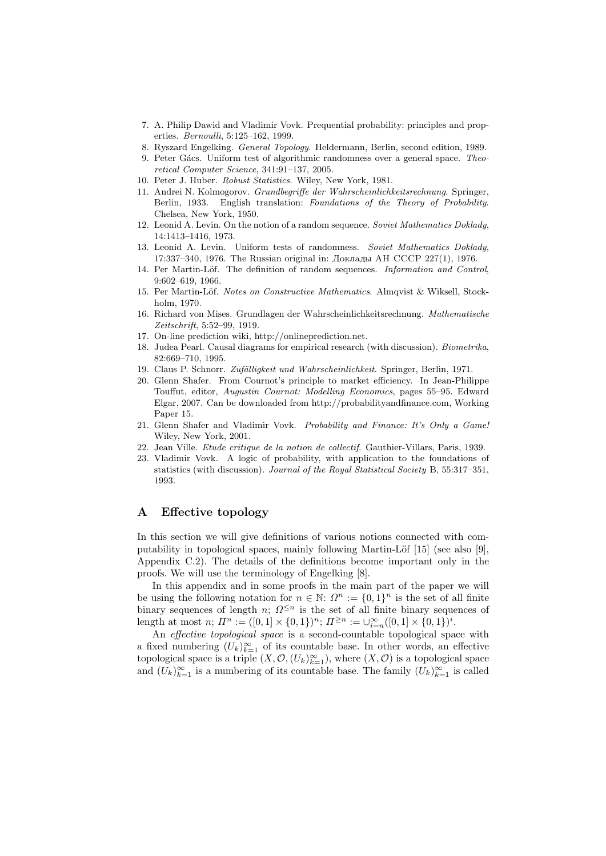- 7. A. Philip Dawid and Vladimir Vovk. Prequential probability: principles and properties. Bernoulli, 5:125–162, 1999.
- 8. Ryszard Engelking. General Topology. Heldermann, Berlin, second edition, 1989.
- 9. Peter Gács. Uniform test of algorithmic randomness over a general space. Theoretical Computer Science, 341:91–137, 2005.
- 10. Peter J. Huber. Robust Statistics. Wiley, New York, 1981.
- 11. Andrei N. Kolmogorov. Grundbegriffe der Wahrscheinlichkeitsrechnung. Springer, Berlin, 1933. English translation: Foundations of the Theory of Probability. Chelsea, New York, 1950.
- 12. Leonid A. Levin. On the notion of a random sequence. Soviet Mathematics Doklady, 14:1413–1416, 1973.
- 13. Leonid A. Levin. Uniform tests of randomness. Soviet Mathematics Doklady, 17:337–340, 1976. The Russian original in: Доклады АН СССР 227(1), 1976.
- 14. Per Martin-Löf. The definition of random sequences. *Information and Control*, 9:602–619, 1966.
- 15. Per Martin-Löf. Notes on Constructive Mathematics. Almqvist & Wiksell, Stockholm, 1970.
- 16. Richard von Mises. Grundlagen der Wahrscheinlichkeitsrechnung. Mathematische Zeitschrift, 5:52–99, 1919.
- 17. On-line prediction wiki, http://onlineprediction.net.
- 18. Judea Pearl. Causal diagrams for empirical research (with discussion). Biometrika, 82:669–710, 1995.
- 19. Claus P. Schnorr. Zufälligkeit und Wahrscheinlichkeit. Springer, Berlin, 1971.
- 20. Glenn Shafer. From Cournot's principle to market efficiency. In Jean-Philippe Touffut, editor, Augustin Cournot: Modelling Economics, pages 55–95. Edward Elgar, 2007. Can be downloaded from http://probabilityandfinance.com, Working Paper 15.
- 21. Glenn Shafer and Vladimir Vovk. Probability and Finance: It's Only a Game! Wiley, New York, 2001.
- 22. Jean Ville. Etude critique de la notion de collectif. Gauthier-Villars, Paris, 1939.
- 23. Vladimir Vovk. A logic of probability, with application to the foundations of statistics (with discussion). Journal of the Royal Statistical Society B, 55:317–351, 1993.

# A Effective topology

In this section we will give definitions of various notions connected with computability in topological spaces, mainly following Martin-Löf [15] (see also [9], Appendix C.2). The details of the definitions become important only in the proofs. We will use the terminology of Engelking [8].

In this appendix and in some proofs in the main part of the paper we will be using the following notation for  $n \in \mathbb{N}$ :  $\Omega^n := \{0,1\}^n$  is the set of all finite binary sequences of length n;  $\Omega^{\leq n}$  is the set of all finite binary sequences of length at most  $n; \, \Pi^n := ([0,1] \times \{0,1\})^n; \, \Pi^{\geq n} := \cup_{i=n}^{\infty} ([0,1] \times \{0,1\})^i.$ 

An *effective topological space* is a second-countable topological space with a fixed numbering  $(U_k)_{k=1}^{\infty}$  of its countable base. In other words, an effective topological space is a triple  $(X, \mathcal{O}, (U_k)_{k=1}^\infty)$ , where  $(X, \mathcal{O})$  is a topological space and  $(U_k)_{k=1}^{\infty}$  is a numbering of its countable base. The family  $(U_k)_{k=1}^{\infty}$  is called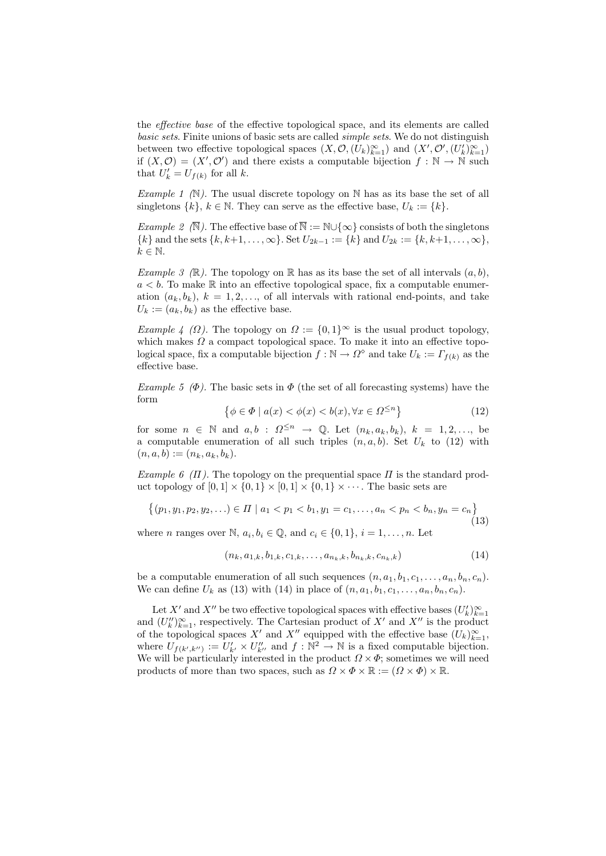the effective base of the effective topological space, and its elements are called basic sets. Finite unions of basic sets are called simple sets. We do not distinguish between two effective topological spaces  $(X, \mathcal{O}, (U_k)_{k=1}^\infty)$  and  $(X', \mathcal{O}', (U'_k)_{k=1}^\infty)$ if  $(X, \mathcal{O}) = (X', \mathcal{O}')$  and there exists a computable bijection  $f : \mathbb{N} \to \mathbb{N}$  such that  $U'_k = U_{f(k)}$  for all k.

Example 1  $(N)$ . The usual discrete topology on N has as its base the set of all singletons  $\{k\}, k \in \mathbb{N}$ . They can serve as the effective base,  $U_k := \{k\}.$ 

*Example 2*  $(\overline{N})$ . The effective base of  $\overline{N} := N \cup \{\infty\}$  consists of both the singletons  $\{k\}$  and the sets  $\{k, k+1, \ldots, \infty\}$ . Set  $U_{2k-1} := \{k\}$  and  $U_{2k} := \{k, k+1, \ldots, \infty\}$ ,  $k \in \mathbb{N}$ .

Example 3 (R). The topology on R has as its base the set of all intervals  $(a, b)$ ,  $a < b$ . To make R into an effective topological space, fix a computable enumeration  $(a_k, b_k)$ ,  $k = 1, 2, \ldots$ , of all intervals with rational end-points, and take  $U_k := (a_k, b_k)$  as the effective base.

Example 4 ( $\Omega$ ). The topology on  $\Omega := \{0,1\}^{\infty}$  is the usual product topology, which makes  $\Omega$  a compact topological space. To make it into an effective topological space, fix a computable bijection  $f : \mathbb{N} \to \Omega^{\diamond}$  and take  $U_k := \Gamma_{f(k)}$  as the effective base.

Example 5 ( $\Phi$ ). The basic sets in  $\Phi$  (the set of all forecasting systems) have the form

$$
\{\phi \in \Phi \mid a(x) < \phi(x) < b(x), \forall x \in \Omega^{\le n}\}\tag{12}
$$

for some  $n \in \mathbb{N}$  and  $a, b : \Omega^{\leq n} \to \mathbb{Q}$ . Let  $(n_k, a_k, b_k), k = 1, 2, \ldots$ , be a computable enumeration of all such triples  $(n, a, b)$ . Set  $U_k$  to (12) with  $(n, a, b) := (n_k, a_k, b_k).$ 

Example 6 (Π). The topology on the prequential space  $\Pi$  is the standard product topology of  $[0, 1] \times \{0, 1\} \times [0, 1] \times \{0, 1\} \times \cdots$ . The basic sets are

$$
\{(p_1, y_1, p_2, y_2, \ldots) \in \Pi \mid a_1 < p_1 < b_1, y_1 = c_1, \ldots, a_n < p_n < b_n, y_n = c_n\} \tag{13}
$$

where *n* ranges over N,  $a_i, b_i \in \mathbb{Q}$ , and  $c_i \in \{0, 1\}$ ,  $i = 1, ..., n$ . Let

$$
(n_k, a_{1,k}, b_{1,k}, c_{1,k}, \dots, a_{n_k,k}, b_{n_k,k}, c_{n_k,k})
$$
\n
$$
(14)
$$

be a computable enumeration of all such sequences  $(n, a_1, b_1, c_1, \ldots, a_n, b_n, c_n)$ . We can define  $U_k$  as (13) with (14) in place of  $(n, a_1, b_1, c_1, \ldots, a_n, b_n, c_n)$ .

Let X' and X" be two effective topological spaces with effective bases  $(U'_k)_{k=1}^{\infty}$ and  $(U''_k)_{k=1}^{\infty}$ , respectively. The Cartesian product of X' and X'' is the product of the topological spaces X' and X'' equipped with the effective base  $(U_k)_{k=1}^{\infty}$ , where  $U_{f(k',k'')} := U'_{k'} \times U''_{k''}$  and  $f : \mathbb{N}^2 \to \mathbb{N}$  is a fixed computable bijection. We will be particularly interested in the product  $\Omega \times \Phi$ ; sometimes we will need products of more than two spaces, such as  $\Omega \times \Phi \times \mathbb{R} := (\Omega \times \Phi) \times \mathbb{R}$ .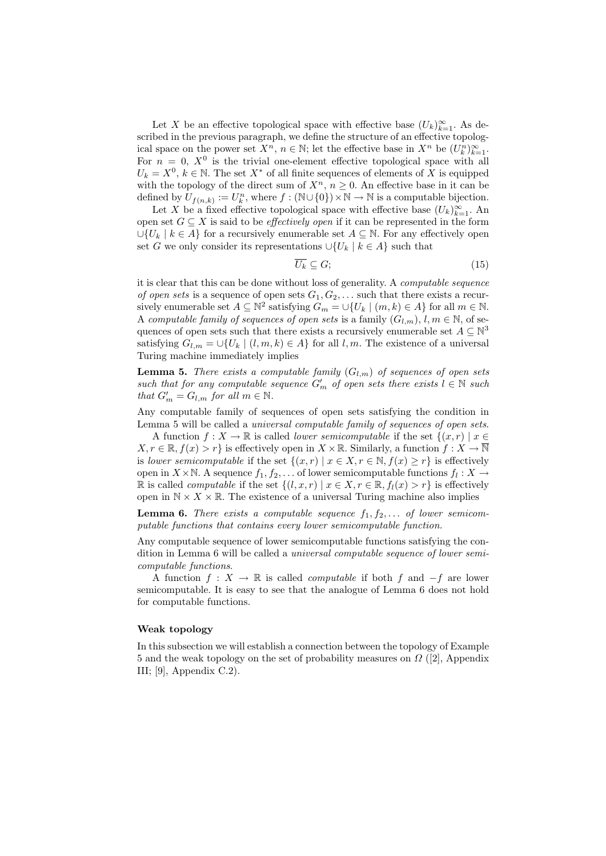Let X be an effective topological space with effective base  $(U_k)_{k=1}^{\infty}$ . As described in the previous paragraph, we define the structure of an effective topological space on the power set  $X^n$ ,  $n \in \mathbb{N}$ ; let the effective base in  $X^n$  be  $(U_k^n)_{k=1}^{\infty}$ . For  $n = 0$ ,  $X^0$  is the trivial one-element effective topological space with all  $U_k = X^0, k \in \mathbb{N}$ . The set  $X^*$  of all finite sequences of elements of X is equipped with the topology of the direct sum of  $X^n$ ,  $n \geq 0$ . An effective base in it can be defined by  $U_{f(n,k)} := U_k^n$ , where  $f : (\mathbb{N} \cup \{0\}) \times \mathbb{N} \to \mathbb{N}$  is a computable bijection.

Let X be a fixed effective topological space with effective base  $(U_k)_{k=1}^{\infty}$ . An open set  $G \subseteq X$  is said to be *effectively open* if it can be represented in the form  $\bigcup \{U_k \mid k \in A\}$  for a recursively enumerable set  $A \subseteq \mathbb{N}$ . For any effectively open set G we only consider its representations  $\cup \{U_k \mid k \in A\}$  such that

$$
\overline{U_k} \subseteq G; \tag{15}
$$

it is clear that this can be done without loss of generality. A computable sequence of open sets is a sequence of open sets  $G_1, G_2, \ldots$  such that there exists a recursively enumerable set  $A \subseteq \mathbb{N}^2$  satisfying  $G_m = \bigcup \{U_k \mid (m, k) \in A\}$  for all  $m \in \mathbb{N}$ . A computable family of sequences of open sets is a family  $(G_{l,m})$ ,  $l, m \in \mathbb{N}$ , of sequences of open sets such that there exists a recursively enumerable set  $A \subseteq \mathbb{N}^3$ satisfying  $G_{l,m} = \bigcup \{U_k \mid (l,m,k) \in A\}$  for all  $l,m$ . The existence of a universal Turing machine immediately implies

**Lemma 5.** There exists a computable family  $(G_{l,m})$  of sequences of open sets such that for any computable sequence  $G'_m$  of open sets there exists  $l \in \mathbb{N}$  such that  $G'_m = G_{l,m}$  for all  $m \in \mathbb{N}$ .

Any computable family of sequences of open sets satisfying the condition in Lemma 5 will be called a universal computable family of sequences of open sets.

A function  $f: X \to \mathbb{R}$  is called *lower semicomputable* if the set  $\{(x, r) \mid x \in$  $X, r \in \mathbb{R}, f(x) > r$  is effectively open in  $X \times \mathbb{R}$ . Similarly, a function  $f: X \to \overline{\mathbb{N}}$ is lower semicomputable if the set  $\{(x, r) | x \in X, r \in \mathbb{N}, f(x) \geq r\}$  is effectively open in  $X \times \mathbb{N}$ . A sequence  $f_1, f_2, \ldots$  of lower semicomputable functions  $f_l: X \to$ R is called *computable* if the set  $\{(l, x, r) | x \in X, r \in \mathbb{R}, f_l(x) > r\}$  is effectively open in  $\mathbb{N} \times X \times \mathbb{R}$ . The existence of a universal Turing machine also implies

**Lemma 6.** There exists a computable sequence  $f_1, f_2, \ldots$  of lower semicomputable functions that contains every lower semicomputable function.

Any computable sequence of lower semicomputable functions satisfying the condition in Lemma 6 will be called a universal computable sequence of lower semicomputable functions.

A function  $f : X \to \mathbb{R}$  is called *computable* if both f and  $-f$  are lower semicomputable. It is easy to see that the analogue of Lemma 6 does not hold for computable functions.

# Weak topology

In this subsection we will establish a connection between the topology of Example 5 and the weak topology on the set of probability measures on  $\Omega$  ([2], Appendix III;  $[9]$ , Appendix C.2).